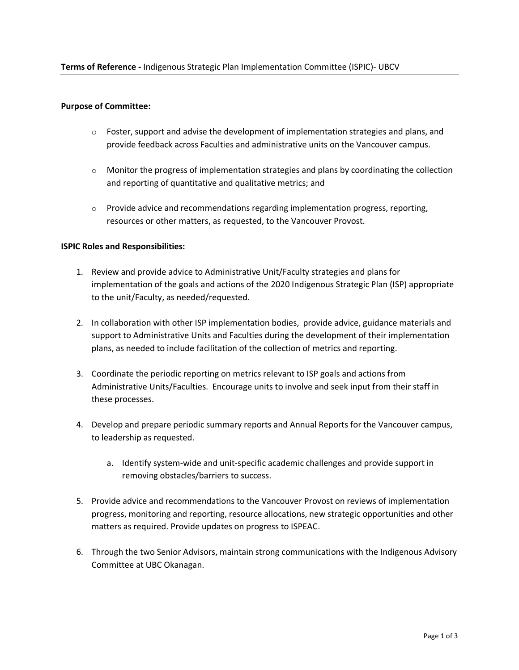### **Purpose of Committee:**

- $\circ$  Foster, support and advise the development of implementation strategies and plans, and provide feedback across Faculties and administrative units on the Vancouver campus.
- $\circ$  Monitor the progress of implementation strategies and plans by coordinating the collection and reporting of quantitative and qualitative metrics; and
- $\circ$  Provide advice and recommendations regarding implementation progress, reporting, resources or other matters, as requested, to the Vancouver Provost.

## **ISPIC Roles and Responsibilities:**

- 1. Review and provide advice to Administrative Unit/Faculty strategies and plans for implementation of the goals and actions of the 2020 Indigenous Strategic Plan (ISP) appropriate to the unit/Faculty, as needed/requested.
- 2. In collaboration with other ISP implementation bodies, provide advice, guidance materials and support to Administrative Units and Faculties during the development of their implementation plans, as needed to include facilitation of the collection of metrics and reporting.
- 3. Coordinate the periodic reporting on metrics relevant to ISP goals and actions from Administrative Units/Faculties. Encourage units to involve and seek input from their staff in these processes.
- 4. Develop and prepare periodic summary reports and Annual Reports for the Vancouver campus, to leadership as requested.
	- a. Identify system-wide and unit-specific academic challenges and provide support in removing obstacles/barriers to success.
- 5. Provide advice and recommendations to the Vancouver Provost on reviews of implementation progress, monitoring and reporting, resource allocations, new strategic opportunities and other matters as required. Provide updates on progress to ISPEAC.
- 6. Through the two Senior Advisors, maintain strong communications with the Indigenous Advisory Committee at UBC Okanagan.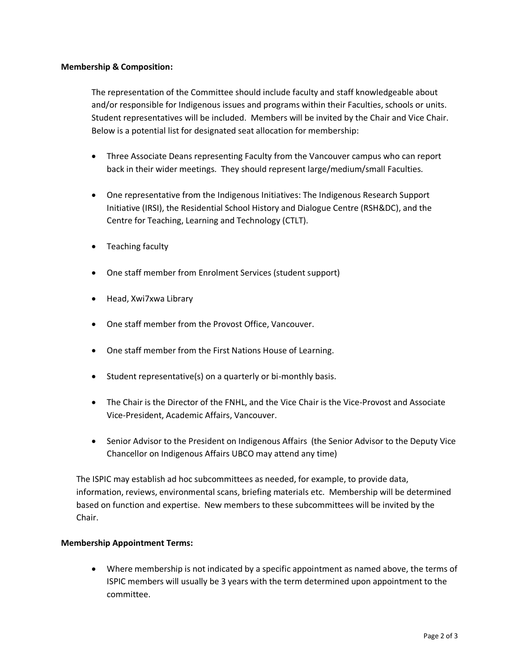## **Membership & Composition:**

The representation of the Committee should include faculty and staff knowledgeable about and/or responsible for Indigenous issues and programs within their Faculties, schools or units. Student representatives will be included. Members will be invited by the Chair and Vice Chair. Below is a potential list for designated seat allocation for membership:

- Three Associate Deans representing Faculty from the Vancouver campus who can report back in their wider meetings. They should represent large/medium/small Faculties.
- One representative from the Indigenous Initiatives: The Indigenous Research Support Initiative (IRSI), the Residential School History and Dialogue Centre (RSH&DC), and the Centre for Teaching, Learning and Technology (CTLT).
- Teaching faculty
- One staff member from Enrolment Services (student support)
- Head, Xwi7xwa Library
- One staff member from the Provost Office, Vancouver.
- One staff member from the First Nations House of Learning.
- Student representative(s) on a quarterly or bi-monthly basis.
- The Chair is the Director of the FNHL, and the Vice Chair is the Vice-Provost and Associate Vice-President, Academic Affairs, Vancouver.
- Senior Advisor to the President on Indigenous Affairs (the Senior Advisor to the Deputy Vice Chancellor on Indigenous Affairs UBCO may attend any time)

The ISPIC may establish ad hoc subcommittees as needed, for example, to provide data, information, reviews, environmental scans, briefing materials etc. Membership will be determined based on function and expertise. New members to these subcommittees will be invited by the Chair.

# **Membership Appointment Terms:**

• Where membership is not indicated by a specific appointment as named above, the terms of ISPIC members will usually be 3 years with the term determined upon appointment to the committee.